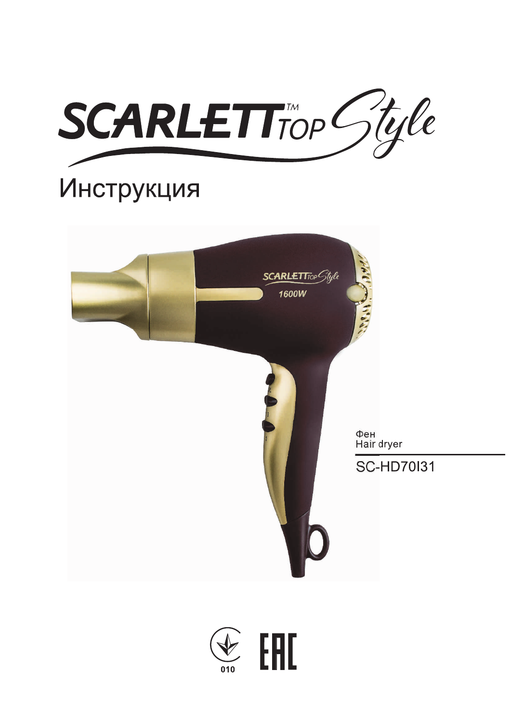

# Инструкция



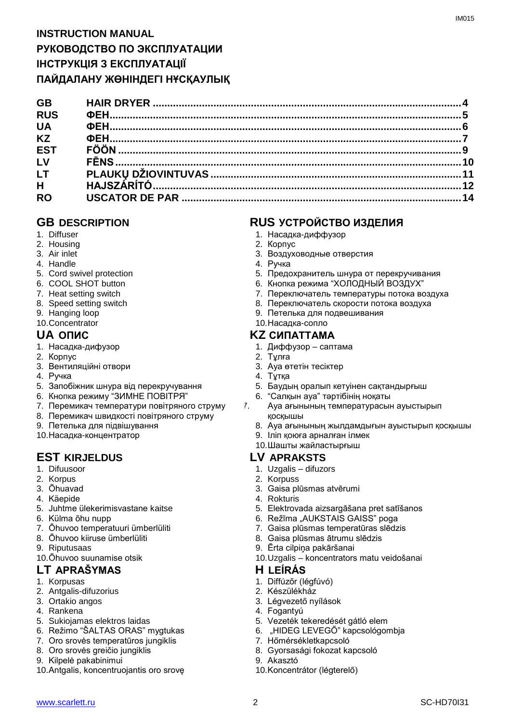| <b>GB</b>  |  |
|------------|--|
| <b>RUS</b> |  |
| <b>UA</b>  |  |
| <b>KZ</b>  |  |
| <b>EST</b> |  |
| LV         |  |
| <b>LT</b>  |  |
| H          |  |
| <b>RO</b>  |  |
|            |  |

- 1. Diffuser
- 2. Housing
- 3. Air inlet
- 4. Handle
- 5. Cord swivel protection
- 6. COOL SHOT button
- 7. Heat setting switch
- 8. Speed setting switch
- 9. Hanging loop
- 10.Concentrator

- 1. Насадка-дифузор
- 2. Корпус
- 3. Вентиляційні отвори
- 4. Ручка
- 5. Запобіжник шнура від перекручування
- 6. Кнопка режиму "ЗИМНЕ ПОВІТРЯ"
- 7. Перемикач температури повітряного струму
- 8. Перемикач швидкості повітряного струму
- 9. Петелька для підвішування
- 10.Насадка-концентратор

# **EST KIRJELDUS LV APRAKSTS**

- 1. Difuusoor
- 2. Korpus
- 3. Õhuavad
- 4. Käepide
- 5. Juhtme ülekerimisvastane kaitse
- 6. Külma õhu nupp
- 7. Õhuvoo temperatuuri ümberlüliti
- 8. Õhuvoo kiiruse ümberlüliti
- 9. Riputusaas
- 10.Õhuvoo suunamise otsik

### **LT APRAŠYMAS H LEÍRÁS**

- 1. Korpusas
- 2. Antgalis-difuzorius
- 3. Ortakio angos
- 4. Rankena
- 5. Sukiojamas elektros laidas
- 6. Režimo "ŠALTAS ORAS" mygtukas
- 7. Oro srovės temperatūros jungiklis
- 8. Oro srovės greičio jungiklis
- 9. Kilpelė pakabinimui
- 10.Antgalis, koncentruojantis oro srovę

# **GB DESCRIPTION RUS УСТРОЙСТВО ИЗДЕЛИЯ**

- 1. Насадка-диффузор
- 2. Корпус
- 3. Воздуховодные отверстия
- 4. Ручка
- 5. Предохранитель шнура от перекручивания
- 6. Кнопка режима "ХОЛОДНЫЙ ВОЗДУХ"
- 7. Переключатель температуры потока воздуха
- 8. Переключатель скорости потока воздуха
- 9. Петелька для подвешивания
- 10.Насадка-сопло

# **UA ОПИС KZ СИПАТТАМА**

- 1. Диффузор саптама
- 2. Тұлға
	- 3. Ауа өтетін тесіктер
	- 4. Тұтқа
	- 5. Баудың оралып кетуінен сақтандырғыш
	- 6. "Салқын ауа" тәртібінің ноқаты
- 7. Ауа ағынының температурасын ауыстырып қосқышы
	- 8. Ауа ағынының жылдамдығын ауыстырып қосқышы
	- 9. Іліп қоюға арналған ілмек
	- 10.Шашты жайластырғыш

- 1. Uzgalis difuzors
- 2. Korpuss
- 3. Gaisa plūsmas atvērumi
- 4. Rokturis
- 5. Elektrovada aizsargāšana pret satīšanos
- 6. Režīma "AUKSTAIS GAISS" poga
- 7. Gaisa plūsmas temperatūras slēdzis
- 8. Gaisa plūsmas ātrumu slēdzis
- 9. Ērta cilpiņa pakāršanai
- 10.Uzgalis koncentrators matu veidošanai

- 1. Diffúzőr (légfúvó)
- 2. Készülékház
- 3. Légvezető nyílások
- 4. Fogantyú
- 5. Vezeték tekeredését gátló elem
- 6. "HIDEG LEVEGŐ" kapcsológombja
- 7. Hőmérsékletkapcsoló
- 8. Gyorsasági fokozat kapcsoló
- 9. Akasztó
- 10.Koncentrátor (légterelő)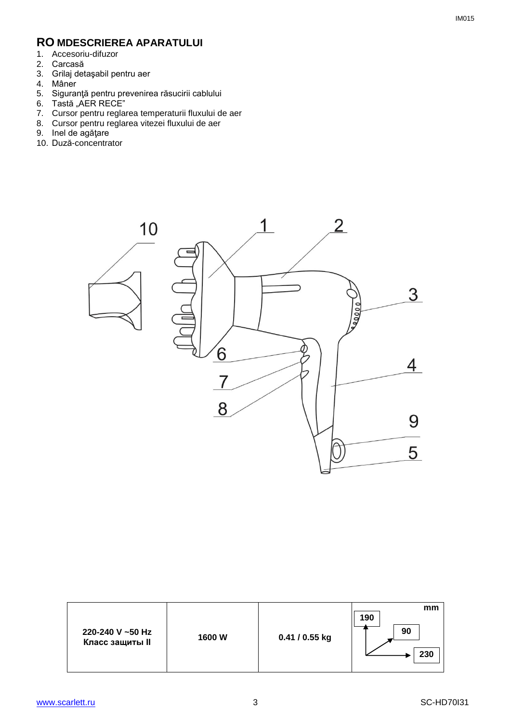# **RO MDESCRIEREA APARATULUI**

- 1. Accesoriu-difuzor
- 2. Carcasă
- 3. Grilaj detaşabil pentru aer
- 4. Mâner
- 5. Siguranţă pentru prevenirea răsucirii cablului
- 6. Tastă "AER RECE"
- 7. Cursor pentru reglarea temperaturii fluxului de aer
- 8. Cursor pentru reglarea vitezei fluxului de aer
- 9. Inel de agăţare
- 10. Duză-concentrator



| 220-240 V ~50 Hz<br><b>Класс защиты II</b> | 1600W | 0.41 / 0.55 kg | mm<br>190<br>90<br>230 |
|--------------------------------------------|-------|----------------|------------------------|
|--------------------------------------------|-------|----------------|------------------------|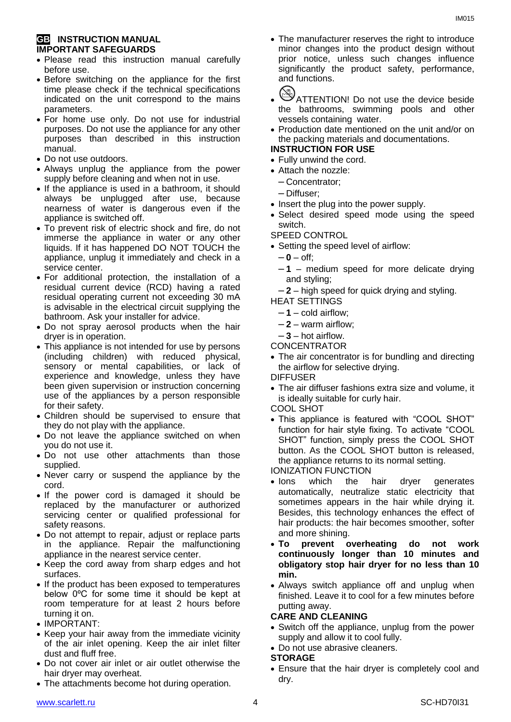#### **GB INSTRUCTION MANUAL IMPORTANT SAFEGUARDS**

- Please read this instruction manual carefully before use.
- Before switching on the appliance for the first time please check if the technical specifications indicated on the unit correspond to the mains parameters.
- For home use only. Do not use for industrial purposes. Do not use the appliance for any other purposes than described in this instruction manual.
- Do not use outdoors.
- Always unplug the appliance from the power supply before cleaning and when not in use.
- If the appliance is used in a bathroom, it should always be unplugged after use, because nearness of water is dangerous even if the appliance is switched off.
- To prevent risk of electric shock and fire, do not immerse the appliance in water or any other liquids. If it has happened DO NOT TOUCH the appliance, unplug it immediately and check in a service center.
- For additional protection, the installation of a residual current device (RCD) having a rated residual operating current not exceeding 30 mA is advisable in the electrical circuit supplying the bathroom. Ask your installer for advice.
- Do not spray aerosol products when the hair dryer is in operation.
- This appliance is not intended for use by persons (including children) with reduced physical, sensory or mental capabilities, or lack of experience and knowledge, unless they have been given supervision or instruction concerning use of the appliances by a person responsible for their safety.
- Children should be supervised to ensure that they do not play with the appliance.
- Do not leave the appliance switched on when you do not use it.
- Do not use other attachments than those supplied.
- Never carry or suspend the appliance by the cord.
- If the power cord is damaged it should be replaced by the manufacturer or authorized servicing center or qualified professional for safety reasons.
- Do not attempt to repair, adjust or replace parts in the appliance. Repair the malfunctioning appliance in the nearest service center.
- Keep the cord away from sharp edges and hot surfaces.
- If the product has been exposed to temperatures below 0ºC for some time it should be kept at room temperature for at least 2 hours before turning it on.
- IMPORTANT:
- Keep your hair away from the immediate vicinity of the air inlet opening. Keep the air inlet filter dust and fluff free.
- Do not cover air inlet or air outlet otherwise the hair dryer may overheat.
- The attachments become hot during operation.

 The manufacturer reserves the right to introduce minor changes into the product design without prior notice, unless such changes influence significantly the product safety, performance, and functions.



- ATTENTION! Do not use the device beside the bathrooms, swimming pools and other vessels containing water.
- Production date mentioned on the unit and/or on the packing materials and documentations.

#### **INSTRUCTION FOR USE**

- Fully unwind the cord.
- Attach the nozzle:
	- Concentrator;
	- Diffuser;
- Insert the plug into the power supply.
- Select desired speed mode using the speed switch.
- SPEED CONTROL
- Setting the speed level of airflow:
	- $-0$  off:
	- **1** medium speed for more delicate drying and styling;
- **2** high speed for quick drying and styling.
- HEAT SETTINGS
	- $-1$  cold airflow:
	- **2** warm airflow;
- **3** hot airflow.
- CONCENTRATOR
- The air concentrator is for bundling and directing the airflow for selective drying.
- DIFFUSER
- The air diffuser fashions extra size and volume, it is ideally suitable for curly hair.
- COOL SHOT
- This appliance is featured with "COOL SHOT" function for hair style fixing. To activate "COOL SHOT" function, simply press the COOL SHOT button. As the COOL SHOT button is released, the appliance returns to its normal setting.
- IONIZATION FUNCTION
- Ions which the hair dryer generates automatically, neutralize static electricity that sometimes appears in the hair while drying it. Besides, this technology enhances the effect of hair products: the hair becomes smoother, softer and more shining.
- **To prevent overheating do not work continuously longer than 10 minutes and obligatory stop hair dryer for no less than 10 min.**
- Always switch appliance off and unplug when finished. Leave it to cool for a few minutes before putting away.

#### **CARE AND CLEANING**

- Switch off the appliance, unplug from the power supply and allow it to cool fully.
- Do not use abrasive cleaners.
- **STORAGE**
- Ensure that the hair dryer is completely cool and dry.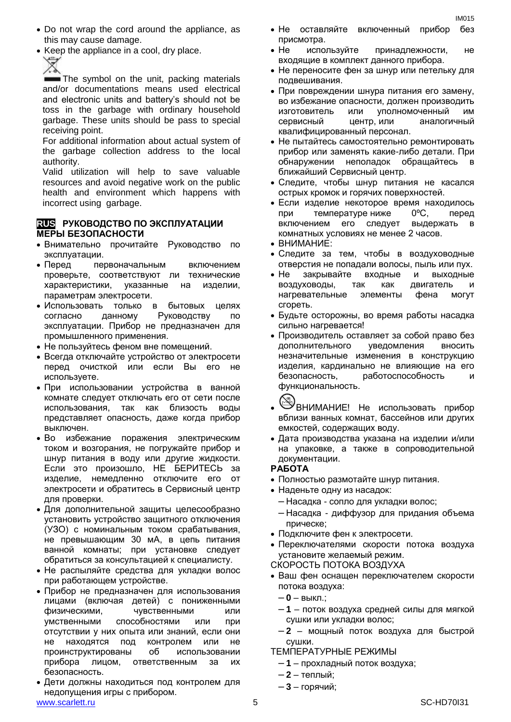- Do not wrap the cord around the appliance, as this may cause damage.
- Keep the appliance in a cool, dry place.

Ź

The symbol on the unit, packing materials and/or documentations means used electrical and electronic units and battery's should not be toss in the garbage with ordinary household garbage. These units should be pass to special receiving point.

For additional information about actual system of the garbage collection address to the local authority.

Valid utilization will help to save valuable resources and avoid negative work on the public health and environment which happens with incorrect using garbage.

#### **RUS РУКОВОДСТВО ПО ЭКСПЛУАТАЦИИ МЕРЫ БЕЗОПАСНОСТИ**

- Внимательно прочитайте Руководство по эксплуатации.
- Перед первоначальным включением проверьте, соответствуют ли технические характеристики, указанные на изделии, параметрам электросети.
- Использовать только в бытовых целях согласно данному Руководству по эксплуатации. Прибор не предназначен для промышленного применения.
- Не пользуйтесь феном вне помещений.
- Всегда отключайте устройство от электросети перед очисткой или если Вы его не используете.
- При использовании устройства в ванной комнате следует отключать его от сети после использования, так как близость воды представляет опасность, даже когда прибор выключен.
- Во избежание поражения электрическим током и возгорания, не погружайте прибор и шнур питания в воду или другие жидкости. Если это произошло, НЕ БЕРИТЕСЬ за изделие, немедленно отключите его от электросети и обратитесь в Сервисный центр для проверки.
- Для дополнительной защиты целесообразно установить устройство защитного отключения (УЗО) с номинальным током срабатывания, не превышающим 30 мА, в цепь питания ванной комнаты; при установке следует обратиться за консультацией к специалисту.
- Не распыляйте средства для укладки волос при работающем устройстве.
- Прибор не предназначен для использования лицами (включая детей) с пониженными физическими, чувственными или умственными способностями или при отсутствии у них опыта или знаний, если они не находятся под контролем или не проинструктированы об использовании прибора лицом, ответственным за их безопасность.
- www.scarlett.ru 5 SC-HD70I31 Дети должны находиться под контролем для недопущения игры с прибором.

 Не оставляйте включенный прибор без присмотра.

IM015

- Не используйте принадлежности, не входящие в комплект данного прибора.
- Не переносите фен за шнур или петельку для подвешивания.
- При повреждении шнура питания его замену, во избежание опасности, должен производить изготовитель или уполномоченный им сервисный центр, или аналогичный квалифицированный персонал.
- Не пытайтесь самостоятельно ремонтировать прибор или заменять какие-либо детали. При обнаружении неполадок обращайтесь ближайший Сервисный центр.
- Следите, чтобы шнур питания не касался острых кромок и горячих поверхностей.
- Если изделие некоторое время находилось при температуре ниже 0ºC, перед включением его следует выдержать комнатных условиях не менее 2 часов.
- ВНИМАНИЕ:
- Следите за тем, чтобы в воздуховодные отверстия не попадали волосы, пыль или пух.
- Не закрывайте входные и выходные воздуховоды, так как двигатель и нагревательные элементы фена могут сгореть.
- Будьте осторожны, во время работы насадка сильно нагревается!
- Производитель оставляет за собой право без дополнительного уведомления вносить незначительные изменения в конструкцию изделия, кардинально не влияющие на его безопасность, работоспособность и функциональность.



- $\mathbb{S}$ ВНИМАНИЕ! Не использовать прибор вблизи ванных комнат, бассейнов или других емкостей, содержащих воду.
- Дата производства указана на изделии и/или на упаковке, а также в сопроводительной документации.

#### **РАБОТА**

- Полностью размотайте шнур питания.
- Наденьте одну из насадок:
	- Насадка сопло для укладки волос;
	- Насадка диффузор для придания объема прическе;
- Подключите фен к электросети.
- Переключателями скорости потока воздуха установите желаемый режим.
- СКОРОСТЬ ПОТОКА ВОЗДУХА
- Ваш фен оснащен переключателем скорости потока воздуха:
	- **0** выкл.;
	- **1** поток воздуха средней силы для мягкой сушки или укладки волос;
	- **2** мощный поток воздуха для быстрой сушки.

ТЕМПЕРАТУРНЫЕ РЕЖИМЫ

- **1** прохладный поток воздуха;
- **2** теплый;
- **3** горячий;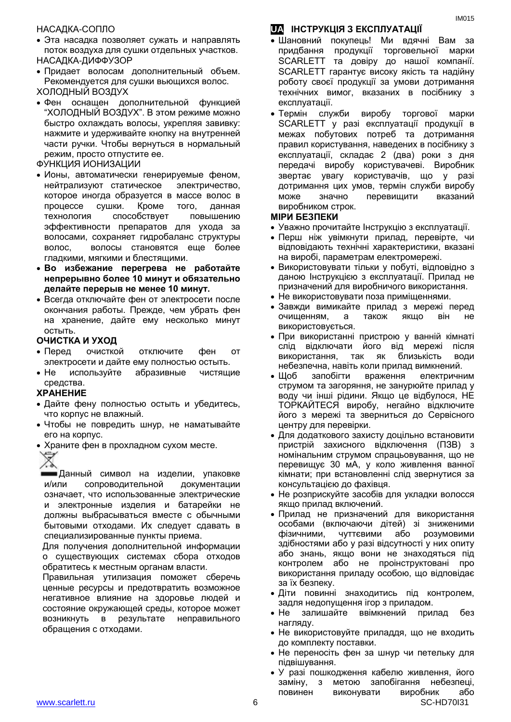#### НАСАДКА-СОПЛО

- Эта насадка позволяет сужать и направлять поток воздуха для сушки отдельных участков. НАСАДКА-ДИФФУЗОР
- Придает волосам дополнительный объем. Рекомендуется для сушки вьющихся волос. ХОЛОДНЫЙ ВОЗДУХ
- Фен оснащен дополнительной функцией "ХОЛОДНЫЙ ВОЗДУХ". В этом режиме можно быстро охлаждать волосы, укрепляя завивку: нажмите и удерживайте кнопку на внутренней части ручки. Чтобы вернуться в нормальный режим, просто отпустите ее.
- ФУНКЦИЯ ИОНИЗАЦИИ
- Ионы, автоматически генерируемые феном, нейтрализуют статическое электричество, которое иногда образуется в массе волос в процессе сушки. Кроме того, данная технология способствует повышению эффективности препаратов для ухода за волосами, сохраняет гидробаланс структуры волос, волосы становятся еще более гладкими, мягкими и блестящими.
- **Во избежание перегрева не работайте непрерывно более 10 минут и обязательно делайте перерыв не менее 10 минут.**
- Всегда отключайте фен от электросети после окончания работы. Прежде, чем убрать фен на хранение, дайте ему несколько минут остыть.

#### **ОЧИСТКА И УХОД**

- Перед очисткой отключите фен от электросети и дайте ему полностью остыть.
- Не используйте абразивные чистящие средства.

#### **ХРАНЕНИЕ**

- Дайте фену полностью остыть и убедитесь, что корпус не влажный.
- Чтобы не повредить шнур, не наматывайте его на корпус.
- Храните фен в прохладном сухом месте.

Данный символ на изделии, упаковке и/или сопроводительной документации означает, что использованные электрические и электронные изделия и батарейки не должны выбрасываться вместе с обычными бытовыми отходами. Их следует сдавать в специализированные пункты приема.

Для получения дополнительной информации о существующих системах сбора отходов обратитесь к местным органам власти.

Правильная утилизация поможет сберечь ценные ресурсы и предотвратить возможное негативное влияние на здоровье людей и состояние окружающей среды, которое может возникнуть в результате неправильного обращения с отходами.

# **UA ІНСТРУКЦІЯ З ЕКСПЛУАТАЦІЇ**

- Шановний покупець! Ми вдячні Вам за придбання продукції торговельної марки SCARLETT та довіру до нашої компанії. SCARLETT гарантує високу якість та надійну роботу своєї продукції за умови дотримання технічних вимог, вказаних в посібнику з експлуатації.
- Термін служби виробу торгової марки SCARLETT у разі експлуатації продукції в межах побутових потреб та дотримання правил користування, наведених в посібнику з експлуатації, складає 2 (два) роки з дня передачі виробу користувачеві. Виробник звертає увагу користувачів, що у разі дотримання цих умов, термін служби виробу може значно перевищити вказаний виробником строк.

#### **МІРИ БЕЗПЕКИ**

- Уважно прочитайте Інструкцію з експлуатації.
- Перш ніж увімкнути прилад, перевірте, чи відповідають технічні характеристики, вказані на виробі, параметрам електромережі.
- Використовувати тільки у побуті, відповідно з даною Інструкцією з експлуатації. Прилад не призначений для виробничого використання.
- Не використовувати поза приміщеннями.
- Завжди вимикайте прилад з мережі перед очищенням, а також якщо він не використовується.
- При використанні пристрою у ванній кімнаті слід відключати його від мережі після використання, так як близькість води небезпечна, навіть коли прилад вимкнений.
- Щоб запобігти враження електричним струмом та загоряння, не занурюйте прилад у воду чи інші рідини. Якщо це відбулося, НЕ ТОРКАЙТЕСЯ виробу, негайно відключите його з мережі та зверниться до Сервісного центру для перевірки.
- Для додаткового захисту доцільно встановити пристрій захисного відключення (ПЗВ) з номінальним струмом спрацьовування, що не перевищує 30 мА, у коло живлення ванної кімнати; при встановленні слід звернутися за консультацією до фахівця.
- Не розприскуйте засобів для укладки волосся якщо прилад включений.
- Прилад не призначений для використання особами (включаючи дітей) зі зниженими фізичними, чуттєвими або розумовими здібностями або у разі відсутності у них опиту або знань, якщо вони не знаходяться під контролем або не проінструктовані про використання приладу особою, що відповідає за їх безпеку.
- Діти повинні знаходитись під контролем, задля недопущення ігор з приладом.
- Не залишайте ввімкнений прилад без нагляду.
- Не використовуйте приладдя, що не входить до комплекту поставки.
- Не переносіть фен за шнур чи петельку для підвішування.
- www.scarlett.ru 6 SC-HD70I31 У разі пошкодження кабелю живлення, його заміну, з метою запобігання небезпеці, повинен виконувати виробник або

IM015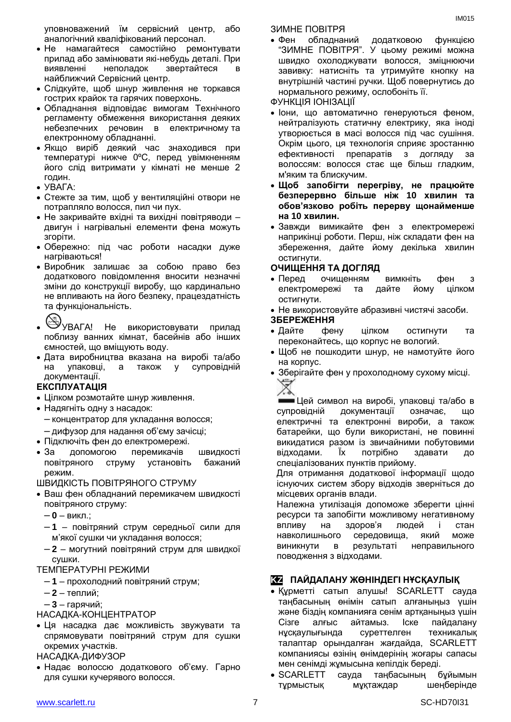уповноважений їм сервісний центр, або аналогічний кваліфікований персонал.

- Не намагайтеся самостійно ремонтувати прилад або замінювати які-небудь деталі. При виявленні неполадок звертайтеся в найближчий Сервісний центр.
- Слідкуйте, щоб шнур живлення не торкався гострих крайок та гарячих поверхонь.
- Обладнання відповідає вимогам Технічного регламенту обмеження використання деяких небезпечних речовин в електричному та електронному обладнанні.
- Якщо виріб деякий час знаходився при температурі нижче 0ºC, перед увімкненням його слід витримати у кімнаті не менше 2 годин.
- $\bullet$  УВАГА:
- Стежте за тим, щоб у вентиляційні отвори не потрапляло волосся, пил чи пух.
- Не закривайте вхідні та вихідні повітряводи двигун і нагрівальні елементи фена можуть згоріти.
- Обережно: пiд час роботи насадки дуже нагріваються!
- Виробник залишає за собою право без додаткового повідомлення вносити незначні зміни до конструкції виробу, що кардинально не впливають на його безпеку, працездатність та функціональність.

- **W** УВАГА! Не використовувати прилад поблизу ванних кімнат, басейнів або інших ємностей, що вміщують воду.
- Дата виробництва вказана на виробі та/або на упаковці, а також у супровідній документації.

#### **ЕКСПЛУАТАЦІЯ**

- Цілком розмотайте шнур живлення.
- Надягніть одну з насадок:
	- концентратор для укладання волосся;
	- дифузор для надання об'єму зачісці;
- Підключіть фен до електромережі.
- За допомогою перемикачів швидкості повітряного струму установіть бажаний режим.

ШВИДКІСТЬ ПОВІТРЯНОГО СТРУМУ

- Ваш фен обладнаний перемикачем швидкості повітряного струму:
	- **0** викл.;
	- **1** повітряний струм середньої сили для м'якої сушки чи укладання волосся;

– **2** – могутний повітряний струм для швидкої сушки.

#### ТЕМПЕРАТУРНІ РЕЖИМИ

- **1** прохолодний повітряний струм;
- **2** теплий;

– **3** – гарячий;

НАСАДКА-КОНЦЕНТРАТОР

 Ця насадка дає можливість звужувати та спрямовувати повітряний струм для сушки окремих участків.

НАСАДКА-ДИФУЗОР

 Надає волоссю додаткового об'єму. Гарно для сушки кучерявого волосся.

ЗИМНЕ ПОВІТРЯ

 Фен обладнаний додатковою функцією "ЗИМНЕ ПОВІТРЯ". У цьому режимі можна швидко охолоджувати волосся, зміцнюючи завивку: натисніть та утримуйте кнопку на внутрішній частині ручки. Щоб повернутись до нормального режиму, ослобоніть її.

ФУНКЦІЯ ІОНІЗАЦІЇ

- Іони, що автоматично генеруються феном, нейтралізують статичну електрику, яка іноді утворюється в масі волосся під час сушіння. Окрім цього, ця технологія сприяє зростанню ефективності препаратів з догляду за волоссям: волосся стає ще більш гладким, м'яким та блискучим.
- **Щоб запобігти перегріву, не працюйте безперервно більше ніж 10 хвилин та обов'язково робіть перерву щонайменше на 10 хвилин.**
- Завжди вимикайте фен з електромережі наприкінці роботи. Перш, ніж складати фен на збереження, дайте йому декілька хвилин остигнути.

#### **ОЧИЩЕННЯ ТА ДОГЛЯД**

- Перед очищенням вимкніть фен з електромережі та дайте йому цілком остигнути.
- Не використовуйте абразивні чистячі засоби.

#### **ЗБЕРЕЖЕННЯ**

- Дайте фену цілком остигнути та переконайтесь, що корпус не вологий.
- Щоб не пошкодити шнур, не намотуйте його на корпус.
- Зберігайте фен у прохолодному сухому місці.

Цей символ на виробі, упаковці та/або в супровідній документації означає, що електричні та електронні вироби, а також батарейки, що були використані, не повинні викидатися разом із звичайними побутовими відходами. Їх потрібно здавати до спеціалізованих пунктів прийому.

Для отримання додаткової інформації щодо існуючих систем збору відходів зверніться до місцевих органів влади.

Належна утилізація допоможе зберегти цінні ресурси та запобігти можливому негативному впливу на здоров'я людей і стан навколишнього середовища, який може виникнути в результаті неправильного поводження з відходами.

# **KZ ПАЙДАЛАНУ ЖӨНІНДЕГІ НҰСҚАУЛЫҚ**

- Құрметті сатып алушы! SCARLETT сауда таңбасының өнімін сатып алғаныңыз үшін және біздің компанияға сенім артқаныңыз үшін Сізге алғыс айтамыз. Іске пайдалану нұсқаулығында суреттелген техникалық талаптар орындалған жағдайда, SCARLETT компаниясы өзінің өнімдерінің жоғары сапасы мен сенімді жұмысына кепілдік береді.
- SCARLETT сауда таңбасының бұйымын тұрмыстық мұқтаждар шеңберінде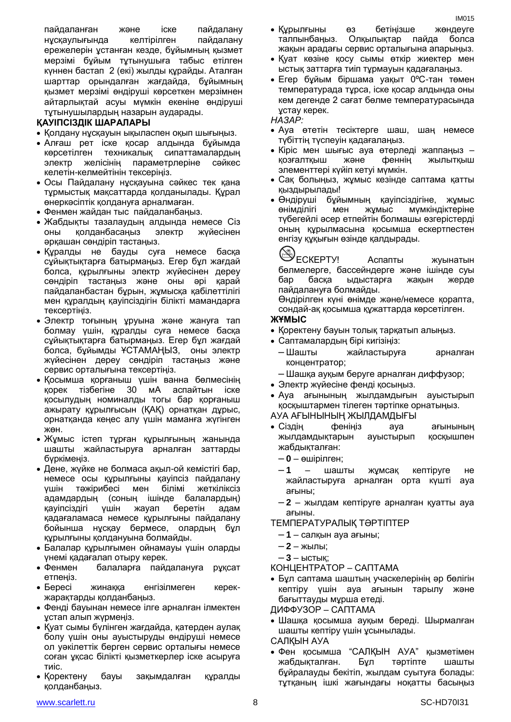пайдаланған және іске пайдалану нұсқаулығында келтірілген пайдалану ережелерін ұстанған кезде, бұйымның қызмет мерзімі бұйым тұтынушыға табыс етілген күннен бастап 2 (екі) жылды құрайды. Аталған шарттар орындалған жағдайда, бұйымның қызмет мерзімі өндіруші көрсеткен мерзімнен айтарлықтай асуы мүмкін екеніне өндіруші тұтынушылардың назарын аударады.

#### **ҚАУІПСІЗДІК ШАРАЛАРЫ**

- Қолдану нұсқауын ықыласпен оқып шығыңыз.
- Алғаш рет іске қосар алдында бұйымда көрсетілген техникалық сипаттамалардың электр желісінің параметрлеріне сәйкес келетін-келмейтінін тексеріңіз.
- Осы Пайдалану нұсқауына сәйкес тек қана тұрмыстық мақсаттарда қолданылады. Құрал өнеркәсіптік қолдануға арналмаған.
- Фенмен жайдан тыс пайдаланбаңыз.
- Жабдықты тазалаудың алдында немесе Сіз оны қолданбасаңыз электр жүйесінен әрқашан сөндіріп тастаңыз.
- Құралды не бауды суға немесе басқа сұйықтықтарға батырмаңыз. Егер бұл жағдай болса, құрылғыны электр жүйесінен дереу сөндіріп тастаңыз және оны әрі қарай пайдаланбастан бұрын, жұмысқа қабілеттілігі мен құралдың қауіпсіздігін білікті мамандарға тексертіңіз.
- Электр тоғының ұруына және жануға тап болмау үшін, құралды суға немесе басқа сұйықтықтарға батырмаңыз. Егер бұл жағдай болса, бұйымды ҰСТАМАҢЫЗ, оны электр жүйесінен дереу сөндіріп тастаңыз және сервис орталығына тексертіңіз.
- Қосымша қорғаныш үшін ванна бөлмесінің қорек тізбегіне 30 мА аспайтын іске қосылудың номиналды тогы бар қорғаныш ажырату құрылғысын (ҚАҚ) орнатқан дұрыс, орнатқанда кеңес алу үшін маманға жүгінген жөн.
- Жұмыс істеп тұрған құрылғының жанында шашты жайластыруға арналған заттарды бүркімеңіз.
- Дене, жүйке не болмаса ақыл-ой кемістігі бар, немесе осы құрылғыны қауіпсіз пайдалану үшін тәжірибесі мен білімі жеткіліксіз адамдардың (соның ішінде балалардың) қауіпсіздігі үшін жауап беретін адам қадағаламаса немесе құрылғыны пайдалану бойынша нұсқау бермесе, олардың бұл құрылғыны қолдануына болмайды.
- Балалар құрылғымен ойнамауы үшін оларды үнемі қадағалап отыру керек.
- Фенмен балаларға пайдалануға рұқсат етпеңіз.
- Бересі жинаққа енгізілмеген керекжарақтарды қолданбаңыз.
- Фенді бауынан немесе ілге арналған ілмектен ұстап алып жүрмеңіз.
- Қуат сымы бүлінген жағдайда, қатерден аулақ болу үшін оны ауыстыруды өндіруші немесе ол уәкілеттік берген сервис орталығы немесе соған ұқсас білікті қызметкерлер іске асыруға тиіс.
- Қоректену бауы зақымдалған құралды қолданбаңыз.
- Құрылғыны өз бетіңізше жөндеуге талпынбаңыз. Олқылықтар пайда болса жақын арадағы сервис орталығына апарыңыз.
- Қуат көзіне қосу сымы өткір жиектер мен ыстық заттарға тиіп тұрмауын қадағалаңыз.
- Егер бұйым біршама уақыт 0ºC-тан төмен температурада тұрса, іске қосар алдында оны кем дегенде 2 сағат бөлме температурасында ұстау керек.

#### *НАЗАР:*

- Ауа өтетін тесіктерге шаш, шаң немесе түбіттің түспеуін қадағалаңыз.
- Кіріс мен шығыс ауа өтерледі жаппаңыз қозғалтқыш және феннің жылытқыш элементтері күйіп кетуі мүмкін.
- Сақ болыңыз, жұмыс кезінде саптама қатты қыздырылады!
- Өндіруші бұйымның қауіпсіздігіне, жұмыс өнімділігі мен жұмыс мүмкіндіктеріне түбегейлі әсер етпейтін болмашы өзгерістерді оның құрылмасына қосымша ескертпестен енгізу құқығын өзінде қалдырады.

ЕСКЕРТУ! Аспапты жуынатын бөлмелерге, бассейндерге және ішінде суы бар басқа ыдыстарға жақын жерде пайдалануға болмайды.

Өндірілген күні өнімде және/немесе қорапта, сондай-ақ қосымша құжаттарда көрсетілген.

#### **ЖҰМЫС**

- Қоректену бауын толық тарқатып алыңыз.
- Саптамалардың бірі кигізіңіз:
	- Шашты жайластыруға арналған концентратор;
	- Шашқа ауқым беруге арналған диффузор;
- Электр жүйесіне фенді қосыңыз.
- Ауа ағынының жылдамдығын ауыстырып қосқыштармен тілеген тәртіпке орнатыңыз.
- АУА АҒЫНЫНЫҢ ЖЫЛДАМДЫҒЫ
- Сіздің феніңіз ауа ағынының жылдамдықтарын ауыстырып қосқышпен жабдықталған:
	- **0** өшірілген;
	- **1** шашты жұмсақ кептіруге не жайластыруға арналған орта күшті ауа ағыны;
	- **2** жылдам кептіруге арналған қуатты ауа ағыны.
- ТЕМПЕРАТУРАЛЫҚ ТӘРТІПТЕР
	- **1** салқын ауа ағыны;
	- **2** жылы;
	- **3** ыстық;

КОНЦЕНТРАТОР – САПТАМА

- Бұл саптама шаштың учаскелерінің әр бөлігін кептіру үшін ауа ағынын тарылу және бағыттауды мұрша етеді.
- ДИФФУЗОР САПТАМА
- Шашқа қосымша ауқым береді. Шырмалған шашты кептіру үшін ұсынылады.
- САЛҚЫН АУА
- Фен қосымша "САЛҚЫН АУА" қызметімен жабдықталған. Бұл тәртіпте шашты бұйралауды бекітіп, жылдам суытуға болады: тұтқаның ішкі жағындағы ноқатты басыңыз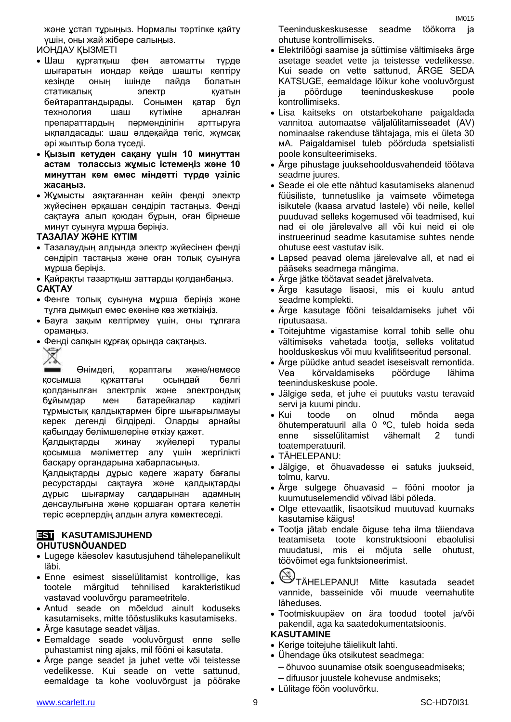және ұстап тұрыңыз. Нормалы тәртіпке қайту үшін, оны жай жібере салыңыз.

ИОНДАУ ҚЫЗМЕТІ

- Шаш құрғатқыш фен автоматты түрде шығаратын иондар кейде шашты кептіру кезінде оның ішінде пайда болатын статикалық электр қуатын бейтараптандырады. Сонымен қатар бұл технология шаш күтіміне арналған препараттардың пәрменділігін арттыруға ықпалдасады: шаш әлдеқайда тегіс, жұмсақ әрі жылтыр бола түседі.
- **Қызып кетуден сақану үшін 10 минуттан астам толассыз жұмыс істемеңіз және 10 минуттан кем емес міндетті түрде үзіліс жасаңыз.**
- Жұмысты аяқтағаннан кейін фенді электр жүйесінен әрқашан сөндіріп тастаңыз. Фенді сақтауға алып қоюдан бұрын, оған бірнеше минут суынуға мұрша беріңіз.

#### **ТАЗАЛАУ ЖӘНЕ КҮТІМ**

- Тазалаудың алдында электр жүйесінен фенді сөндіріп тастаңыз және оған толық суынуға мұрша беріңіз.
- Қайрақты тазартқыш заттарды қолданбаңыз.

#### **САҚТАУ**

- Фенге толық суынуна мұрша беріңіз және тұлға дымқыл емес екеніне көз жеткізіңіз.
- Бауға зақым келтірмеу үшін, оны тұлғаға орамаңыз.
- Фенді салқын құрғақ орында сақтаңыз.
	- Ҿ

Өнімдегі, қораптағы және/немесе қосымша құжаттағы осындай белгі қолданылған электрлік және электрондық бұйымдар мен батарейкалар кәдімгі тұрмыстық қалдықтармен бірге шығарылмауы керек дегенді білдіреді. Оларды арнайы қабылдау бөлімшелеріне өткізу қажет.

Қалдықтарды жинау жүйелері туралы қосымша мәліметтер алу үшін жергілікті басқару органдарына хабарласыңыз.

Қалдықтарды дұрыс кәдеге жарату бағалы ресурстарды сақтауға және қалдықтарды дұрыс шығармау салдарынан адамның денсаулығына және қоршаған ортаға келетін теріс әсерлердің алдын алуға көмектеседі.

#### **EST KASUTAMISJUHEND OHUTUSNÕUANDED**

- Lugege käesolev kasutusjuhend tähelepanelikult läbi.
- Enne esimest sisselülitamist kontrollige, kas tootele märgitud tehnilised karakteristikud vastavad vooluvõrgu parameetritele.
- Antud seade on mõeldud ainult koduseks kasutamiseks, mitte tööstuslikuks kasutamiseks.
- Ärge kasutage seadet väljas.
- Eemaldage seade vooluvõrgust enne selle puhastamist ning ajaks, mil fööni ei kasutata.
- Ärge pange seadet ja juhet vette või teistesse vedelikesse. Kui seade on vette sattunud, eemaldage ta kohe vooluvõrgust ja pöörake

Teeninduskeskusesse seadme töökorra ja ohutuse kontrollimiseks.

- Elektrilöögi saamise ja süttimise vältimiseks ärge asetage seadet vette ja teistesse vedelikesse. Kui seade on vette sattunud, ÄRGE SEDA KATSUGE, eemaldage lõikur kohe vooluvõrgust ja pöörduge teeninduskeskuse poole kontrollimiseks.
- Lisa kaitseks on otstarbekohane paigaldada vannitoa automaatse väljalülitamisseadet (AV) nominaalse rakenduse tähtajaga, mis ei ületa 30 мА. Paigaldamisel tuleb pöörduda spetsialisti poole konsulteerimiseks.
- Ärge pihustage juuksehooldusvahendeid töötava seadme juures.
- Seade ei ole ette nähtud kasutamiseks alanenud füüsiliste, tunnetuslike ja vaimsete võimetega isikutele (kaasa arvatud lastele) või neile, kellel puuduvad selleks kogemused või teadmised, kui nad ei ole järelevalve all või kui neid ei ole instrueerinud seadme kasutamise suhtes nende ohutuse eest vastutav isik.
- Lapsed peavad olema järelevalve all, et nad ei pääseks seadmega mängima.
- Ärge jätke töötavat seadet järelvalveta.
- Ärge kasutage lisaosi, mis ei kuulu antud seadme komplekti.
- Ärge kasutage fööni teisaldamiseks juhet või riputusaasa.
- Toitejuhtme vigastamise korral tohib selle ohu vältimiseks vahetada tootja, selleks volitatud hoolduskeskus või muu kvalifitseeritud personal.
- Ärge püüdke antud seadet iseseisvalt remontida. Vea kõrvaldamiseks pöörduge lähima teeninduskeskuse poole.
- Jälgige seda, et juhe ei puutuks vastu teravaid servi ja kuumi pindu.
- Kui toode on olnud mõnda aega õhutemperatuuril alla 0 ºC, tuleb hoida seda enne sisselülitamist vähemalt 2 tundi toatemperatuuril.
- TÄHELEPANU:
- Jälgige, et õhuavadesse ei satuks juukseid, tolmu, karvu.
- Ärge sulgege õhuavasid fööni mootor ja kuumutuselemendid võivad läbi põleda.
- Olge ettevaatlik, lisaotsikud muutuvad kuumaks kasutamise käigus!
- Tootja jätab endale õiguse teha ilma täiendava teatamiseta toote konstruktsiooni ebaolulisi muudatusi, mis ei mõjuta selle ohutust, töövõimet ega funktsioneerimist.
- TÄHELEPANU! Mitte kasutada seadet vannide, basseinide või muude veemahutite läheduses.
- Tootmiskuupäev on ära toodud tootel ja/või pakendil, aga ka saatedokumentatsioonis.

#### **KASUTAMINE**

- Kerige toitejuhe täielikult lahti.
- Ühendage üks otsikutest seadmega:
	- õhuvoo suunamise otsik soenguseadmiseks;
	- difuusor juustele kohevuse andmiseks;
- Lülitage föön vooluvõrku.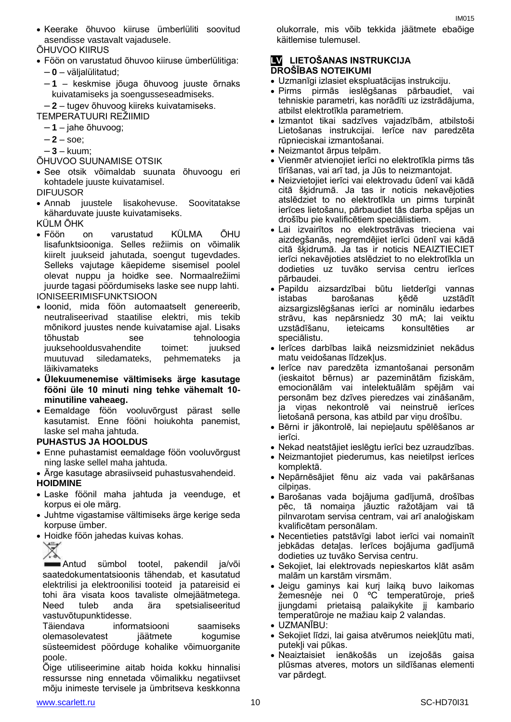Keerake õhuvoo kiiruse ümberlüliti soovitud asendisse vastavalt vajadusele.

ÕHUVOO KIIRUS

- Föön on varustatud õhuvoo kiiruse ümberlülitiga:
	- **0** väljalülitatud;
	- **1**  keskmise jõuga õhuvoog juuste õrnaks kuivatamiseks ja soengusseseadmiseks.
	- **2** tugev õhuvoog kiireks kuivatamiseks.
- TEMPERATUURI REŽIIMID
	- **1** jahe õhuvoog;
	- $-2 -$  soe;
	- **3** kuum;
- ÕHUVOO SUUNAMISE OTSIK
- See otsik võimaldab suunata õhuvoogu eri kohtadele juuste kuivatamisel.

DIFUUSOR

- Annab juustele lisakohevuse. Soovitatakse käharduvate juuste kuivatamiseks.
- KÜLM ÕHK
- Föön on varustatud KÜLMA ÕHU lisafunktsiooniga. Selles režiimis on võimalik kiirelt juukseid jahutada, soengut tugevdades. Selleks vajutage käepideme sisemisel poolel olevat nuppu ja hoidke see. Normaalrežiimi juurde tagasi pöördumiseks laske see nupp lahti. IONISEERIMISFUNKTSIOON
- Ioonid, mida föön automaatselt genereerib, neutraliseerivad staatilise elektri, mis tekib mõnikord juustes nende kuivatamise ajal. Lisaks tõhustab see tehnoloogia juuksehooldusvahendite toimet: juuksed muutuvad siledamateks, pehmemateks ja läikivamateks
- **Ülekuumenemise vältimiseks ärge kasutage fööni üle 10 minuti ning tehke vähemalt 10 minutiline vaheaeg.**
- Eemaldage föön vooluvõrgust pärast selle kasutamist. Enne fööni hoiukohta panemist, laske sel maha jahtuda.

### **PUHASTUS JA HOOLDUS**

- Enne puhastamist eemaldage föön vooluvõrgust ning laske sellel maha jahtuda.
- Ärge kasutage abrasiivseid puhastusvahendeid. **HOIDMINE**
- Laske föönil maha jahtuda ja veenduge, et korpus ei ole märg.
- Juhtme vigastamise vältimiseks ärge kerige seda korpuse ümber.
- Hoidke föön jahedas kuivas kohas.



Antud sümbol tootel, pakendil ja/või saatedokumentatsioonis tähendab, et kasutatud elektrilisi ja elektroonilisi tooteid ja patareisid ei tohi ära visata koos tavaliste olmejäätmetega. Need tuleb anda ära spetsialiseeritud vastuvõtupunktidesse.

Täiendava informatsiooni saamiseks olemasolevatest jäätmete kogumise süsteemidest pöörduge kohalike võimuorganite poole.

Õige utiliseerimine aitab hoida kokku hinnalisi ressursse ning ennetada võimalikku negatiivset mõju inimeste tervisele ja ümbritseva keskkonna

olukorrale, mis võib tekkida jäätmete ebaõige käitlemise tulemusel.

#### **LV LIETOŠANAS INSTRUKCIJA DROŠĪBAS NOTEIKUMI**

- Uzmanīgi izlasiet ekspluatācijas instrukciju.
- Pirms pirmās ieslēgšanas pārbaudiet, vai tehniskie parametri, kas norādīti uz izstrādājuma, atbilst elektrotīkla parametriem.
- Izmantot tikai sadzīves vajadzībām, atbilstoši Lietošanas instrukcijai. Ierīce nav paredzēta rūpnieciskai izmantošanai.
- Neizmantot ārpus telpām.
- Vienmēr atvienojiet ierīci no elektrotīkla pirms tās tīrīšanas, vai arī tad, ja Jūs to neizmantojat.
- Neizvietojiet ierīci vai elektrovadu ūdenī vai kādā citā šķidrumā. Ja tas ir noticis nekavējoties atslēdziet to no elektrotīkla un pirms turpināt ierīces lietošanu, pārbaudiet tās darba spējas un drošību pie kvalificētiem speciālistiem.
- Lai izvairītos no elektrostrāvas trieciena vai aizdegšanās, negremdējiet ierīci ūdenī vai kādā citā šķidrumā. Ja tas ir noticis NEAIZTIECIET ierīci nekavējoties atslēdziet to no elektrotīkla un dodieties uz tuvāko servisa centru ierīces pārbaudei.
- Papildu aizsardzībai būtu lietderīgi vannas istabas barošanas ķēdē uzstādīt aizsargizslēgšanas ierīci ar nominālu iedarbes strāvu, kas nepārsniedz 30 mА; lai veiktu uzstādīšanu, ieteicams konsultēties ar speciālistu.
- Ierīces darbības laikā neizsmidziniet nekādus matu veidošanas līdzekļus.
- Ierīce nav paredzēta izmantošanai personām (ieskaitot bērnus) ar pazeminātām fiziskām, emocionālām vai intelektuālām spējām vai personām bez dzīves pieredzes vai zināšanām, ja viņas nekontrolē vai neinstruē ierīces lietošanā persona, kas atbild par viņu drošību.
- Bērni ir jākontrolē, lai nepieļautu spēlēšanos ar ierīci.
- Nekad neatstājiet ieslēgtu ierīci bez uzraudzības.
- Neizmantojiet piederumus, kas neietilpst ierīces komplektā.
- Nepārnēsājiet fēnu aiz vada vai pakāršanas cilpinas.
- Barošanas vada bojājuma gadījumā, drošības pēc, tā nomaiņa jāuztic ražotājam vai tā pilnvarotam servisa centram, vai arī analoģiskam kvalificētam personālam.
- Necentieties patstāvīgi labot ierīci vai nomainīt jebkādas detaļas. Ierīces bojājuma gadījumā dodieties uz tuvāko Servisa centru.
- Sekojiet, lai elektrovads nepieskartos klāt asām malām un karstām virsmām.
- Jeigu gaminys kai kurį laiką buvo laikomas žemesnėje nei 0 ºC temperatūroje, prieš įjungdami prietaisą palaikykite jį kambario temperatūroje ne mažiau kaip 2 valandas.
- UZMANĪBU:
- Sekojiet līdzi, lai gaisa atvērumos neiekļūtu mati, putekļi vai pūkas.
- Neaiztaisiet ienākošās un izejošās gaisa plūsmas atveres, motors un sildīšanas elementi var pārdegt.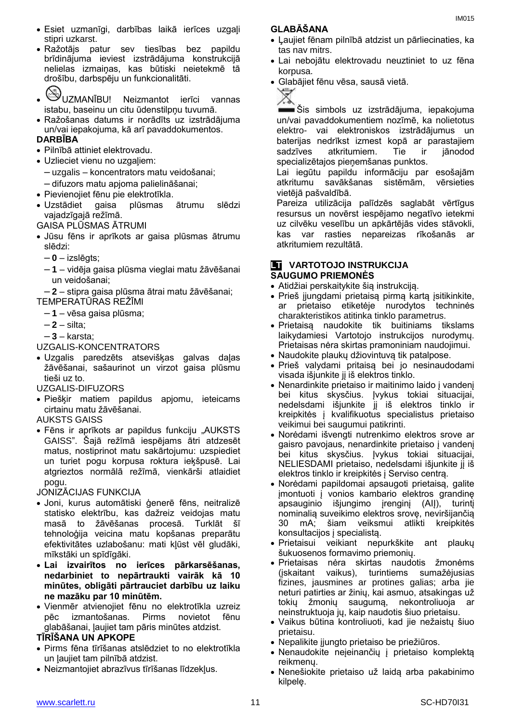- Ražotājs patur sev tiesības bez papildu brīdinājuma ieviest izstrādājuma konstrukcijā nelielas izmaiņas, kas būtiski neietekmē tā drošību, darbspēju un funkcionalitāti.
	-
- UZMANĪBU! Neizmantot ierīci vannas istabu, baseinu un citu ūdenstilpņu tuvumā.
- Ražošanas datums ir norādīts uz izstrādājuma un/vai iepakojuma, kā arī pavaddokumentos.

### **DARBĪBA**

- Pilnībā attiniet elektrovadu.
- Uzlieciet vienu no uzgaliem:
- uzgalis koncentrators matu veidošanai;
- difuzors matu apjoma palielināšanai;
- Pievienojiet fēnu pie elektrotīkla.
- Uzstādiet gaisa plūsmas ātrumu slēdzi vajadzīgajā režīmā.

GAISA PLŪSMAS ĀTRUMI

- Jūsu fēns ir aprīkots ar gaisa plūsmas ātrumu slēdzi:
	- **0** izslēgts;
	- **1** vidēja gaisa plūsma vieglai matu žāvēšanai un veidošanai;

– **2** – stipra gaisa plūsma ātrai matu žāvēšanai; TEMPERATŪRAS REŽĪMI

- **1** vēsa gaisa plūsma;
- **2** silta;
- **3** karsta;
- UZGALIS-KONCENTRATORS
- Uzgalis paredzēts atsevišķas galvas daļas žāvēšanai, sašaurinot un virzot gaisa plūsmu tieši uz to.

UZGALIS-DIFUZORS

- Piešķir matiem papildus apjomu, ieteicams cirtainu matu žāvēšanai.
- AUKSTS GAISS
- Fēns ir aprīkots ar papildus funkciju "AUKSTS GAISS". Šajā režīmā iespējams ātri atdzesēt matus, nostiprinot matu sakārtojumu: uzspiediet un turiet pogu korpusa roktura ieķšpusē. Lai atgrieztos normālā režīmā, vienkārši atlaidiet pogu.

JONIZĀCIJAS FUNKCIJA

- Joni, kurus automātiski ģenerē fēns, neitralizē statisko elektrību, kas dažreiz veidojas matu masā to žāvēšanas procesā. Turklāt šī tehnoloģija veicina matu kopšanas preparātu efektivitātes uzlabošanu: mati kļūst vēl gludāki, mīkstāki un spīdīgāki.
- **Lai izvairītos no ierīces pārkarsēšanas, nedarbiniet to nepārtraukti vairāk kā 10 minūtes, obligāti pārtrauciet darbību uz laiku ne mazāku par 10 minūtēm.**
- Vienmēr atvienojiet fēnu no elektrotīkla uzreiz pēc izmantošanas. Pirms novietot fēnu glabāšanai, ļaujiet tam pāris minūtes atdzist.

#### **TĪRĪŠANA UN APKOPE**

- Pirms fēna tīrīšanas atslēdziet to no elektrotīkla un ļaujiet tam pilnībā atdzist.
- Neizmantojiet abrazīvus tīrīšanas līdzekļus.

#### **GLABĀŠANA**

- Ļaujiet fēnam pilnībā atdzist un pārliecinaties, ka tas nav mitrs.
- Lai nebojātu elektrovadu neuztiniet to uz fēna korpusa.
- Glabājiet fēnu vēsa, sausā vietā.



Šis simbols uz izstrādājuma, iepakojuma un/vai pavaddokumentiem nozīmē, ka nolietotus elektro- vai elektroniskos izstrādājumus un baterijas nedrīkst izmest kopā ar parastajiem sadzīves atkritumiem. Tie ir jānodod specializētajos pieņemšanas punktos.

Lai iegūtu papildu informāciju par esošajām atkritumu savākšanas sistēmām, vērsieties vietējā pašvaldībā.

Pareiza utilizācija palīdzēs saglabāt vērtīgus resursus un novērst iespējamo negatīvo ietekmi uz cilvēku veselību un apkārtējās vides stāvokli, kas var rasties nepareizas rīkošanās ar atkritumiem rezultātā.

#### **LT** VARTOTOJO INSTRUKCIJA **SAUGUMO PRIEMONĖS**

- Atidžiai perskaitykite šią instrukciją.
- Prieš įjungdami prietaisą pirmą kartą įsitikinkite, ar prietaiso etiketėje nurodytos techninės charakteristikos atitinka tinklo parametrus.
- Prietaisą naudokite tik buitiniams tikslams laikydamiesi Vartotojo instrukcijos nurodymų. Prietaisas nėra skirtas pramoniniam naudojimui.
- Naudokite plaukų džiovintuvą tik patalpose.
- Prieš valydami pritaisą bei jo nesinaudodami visada išjunkite jį iš elektros tinklo.
- Nenardinkite prietaiso ir maitinimo laido į vandenį bei kitus skysčius. Įvykus tokiai situacijai, nedelsdami išjunkite jį iš elektros tinklo ir kreipkitės į kvalifikuotus specialistus prietaiso veikimui bei saugumui patikrinti.
- Norėdami išvengti nutrenkimo elektros srove ar gaisro pavojaus, nenardinkite prietaiso į vandenį bei kitus skysčius. Įvykus tokiai situacijai, NELIESDAMI prietaiso, nedelsdami išjunkite jį iš elektros tinklo ir kreipkitės į Serviso centrą.
- Norėdami papildomai apsaugoti prietaisą, galite įmontuoti į vonios kambario elektros grandinę apsauginio išjungimo įrenginį (AIĮ), turintį nominalią suveikimo elektros srovę, neviršijančią 30 mA; šiam veiksmui atlikti kreipkitės konsultacijos į specialistą.
- Prietaisui veikiant nepurkškite ant plaukų šukuosenos formavimo priemonių.
- Prietaisas nėra skirtas naudotis žmonėms (įskaitant vaikus), turintiems sumažėjusias fizines, jausmines ar protines galias; arba jie neturi patirties ar žinių, kai asmuo, atsakingas už tokių žmonių saugumą, nekontroliuoja ar neinstruktuoja jų, kaip naudotis šiuo prietaisu.
- Vaikus būtina kontroliuoti, kad jie nežaistų šiuo prietaisu.
- Nepalikite įjungto prietaiso be priežiūros.
- Nenaudokite neįeinančių į prietaiso komplektą reikmenų.
- Nenešiokite prietaiso už laidą arba pakabinimo kilpelę.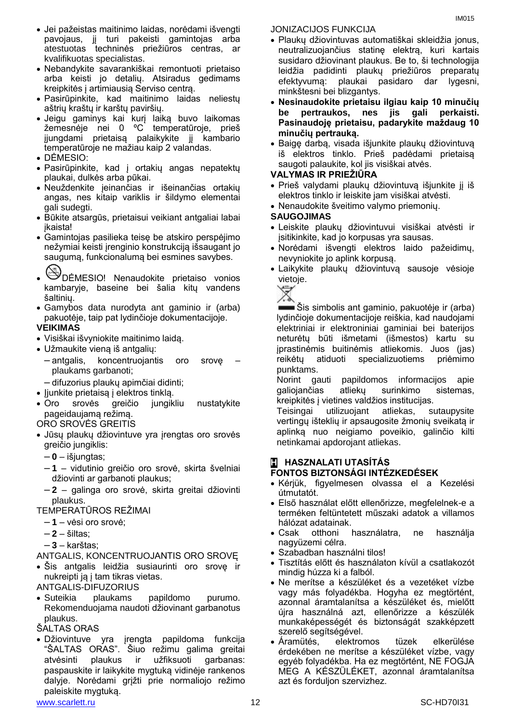- Jei pažeistas maitinimo laidas, norėdami išvengti pavojaus, jį turi pakeisti gamintojas arba atestuotas techninės priežiūros centras, ar kvalifikuotas specialistas.
- Nebandykite savarankiškai remontuoti prietaiso arba keisti jo detalių. Atsiradus gedimams kreipkitės į artimiausią Serviso centrą.
- Pasirūpinkite, kad maitinimo laidas neliestų aštrių kraštų ir karštų paviršių.
- Jeigu gaminys kai kurį laiką buvo laikomas žemesnėje nei 0 ºC temperatūroje, prieš įjungdami prietaisą palaikykite jį kambario temperatūroje ne mažiau kaip 2 valandas.
- DĖMESIO:
- Pasirūpinkite, kad į ortakių angas nepatektų plaukai, dulkės arba pūkai.
- Neuždenkite įeinančias ir išeinančias ortakių angas, nes kitaip variklis ir šildymo elementai gali sudegti.
- Būkite atsargūs, prietaisui veikiant antgaliai labai įkaista!
- Gamintojas pasilieka teisę be atskiro perspėjimo nežymiai keisti įrenginio konstrukciją išsaugant jo saugumą, funkcionalumą bei esmines savybes.
- DĖMESIO! Nenaudokite prietaiso vonios kambaryje, baseine bei šalia kitų vandens šaltinių.
- Gamybos data nurodyta ant gaminio ir (arba) pakuotėje, taip pat lydinčioje dokumentacijoje.

#### **VEIKIMAS**

- Visiškai išvyniokite maitinimo laidą.
- Užmaukite vieną iš antgalių:
	- antgalis, koncentruojantis oro srovę plaukams garbanoti;
	- difuzorius plaukų apimčiai didinti;
- Jjunkite prietaisą į elektros tinklą.
- Oro srovės greičio jungikliu nustatykite pageidaujamą režimą.

ORO SROVĖS GREITIS

- Jūsų plaukų džiovintuve yra įrengtas oro srovės greičio jungiklis:
	- **0** išjungtas;
	- **1** vidutinio greičio oro srovė, skirta švelniai džiovinti ar garbanoti plaukus;
	- **2** galinga oro srovė, skirta greitai džiovinti plaukus.
- TEMPERATŪROS REŽIMAI
	- **1** vėsi oro srovė;
	- **2** šiltas;
	- **3** karštas;
- ANTGALIS, KONCENTRUOJANTIS ORO SROVĘ
- Šis antgalis leidžia susiaurinti oro srovę ir nukreipti ją į tam tikras vietas.
- ANTGALIS-DIFUZORIUS
- Suteikia plaukams papildomo purumo. Rekomenduojama naudoti džiovinant garbanotus plaukus.
- ŠALTAS ORAS
- Džiovintuve yra įrengta papildoma funkcija "ŠALTAS ORAS". Šiuo režimu galima greitai atvėsinti plaukus ir užfiksuoti garbanas: paspauskite ir laikykite mygtuką vidinėje rankenos dalyje. Norėdami grįžti prie normaliojo režimo paleiskite mygtuką.

www.scarlett.ru 12 SC-HD70I31

JONIZACIJOS FUNKCIJA

- Plaukų džiovintuvas automatiškai skleidžia jonus, neutralizuojančius statinę elektrą, kuri kartais susidaro džiovinant plaukus. Be to, ši technologija leidžia padidinti plaukų priežiūros preparatų efektyvumą: plaukai pasidaro dar lygesni, minkštesni bei blizgantys.
- **Nesinaudokite prietaisu ilgiau kaip 10 minučių be pertraukos, nes jis gali perkaisti. Pasinaudoję prietaisu, padarykite maždaug 10 minučių pertrauką.**
- Baigę darbą, visada išjunkite plaukų džiovintuvą iš elektros tinklo. Prieš padėdami prietaisą saugoti palaukite, kol jis visiškai atvės.

#### **VALYMAS IR PRIEŽIŪRA**

- Prieš valydami plaukų džiovintuvą išjunkite jį iš elektros tinklo ir leiskite jam visiškai atvėsti.
- Nenaudokite šveitimo valymo priemonių.

#### **SAUGOJIMAS**

- Leiskite plaukų džiovintuvui visiškai atvėsti ir įsitikinkite, kad jo korpusas yra sausas.
- Norėdami išvengti elektros laido pažeidimų, nevyniokite jo aplink korpusą.
- Laikykite plaukų džiovintuvą sausoje vėsioje vietoje.



Šis simbolis ant gaminio, pakuotėje ir (arba) lydinčioje dokumentacijoje reiškia, kad naudojami elektriniai ir elektroniniai gaminiai bei baterijos neturėtų būti išmetami (išmestos) kartu su įprastinėmis buitinėmis atliekomis. Juos (jas) reikėtų atiduoti specializuotiems priėmimo punktams.

Norint gauti papildomos informacijos apie galiojančias atliekų surinkimo sistemas, kreipkitės į vietines valdžios institucijas.

Teisingai utilizuojant atliekas, sutaupysite vertingų išteklių ir apsaugosite žmonių sveikatą ir aplinką nuo neigiamo poveikio, galinčio kilti netinkamai apdorojant atliekas.

## **H HASZNALATI UTASÍTÁS FONTOS BIZTONSÁGI INTÉZKEDÉSEK**

- Kérjük, figyelmesen olvassa el a Kezelési útmutatót.
- Első használat előtt ellenőrizze, megfelelnek-e a terméken feltüntetett műszaki adatok a villamos hálózat adatainak.
- Csak otthoni használatra, ne használja nagyüzemi célra.
- Szabadban használni tilos!
- Tisztítás előtt és használaton kívül a csatlakozót mindig húzza ki a falból.
- Ne merítse a készüléket és a vezetéket vízbe vagy más folyadékba. Hogyha ez megtörtént, azonnal áramtalanítsa a készüléket és, mielőtt újra használná azt, ellenőrizze a készülék munkaképességét és biztonságát szakképzett szerelő segítségével.
- Áramütés, elektromos tüzek elkerülése érdekében ne merítse a készüléket vízbe, vagy egyéb folyadékba. Ha ez megtörtént, NE FOGJA MEG A KÉSZÜLÉKET, azonnal áramtalanítsa azt és forduljon szervizhez.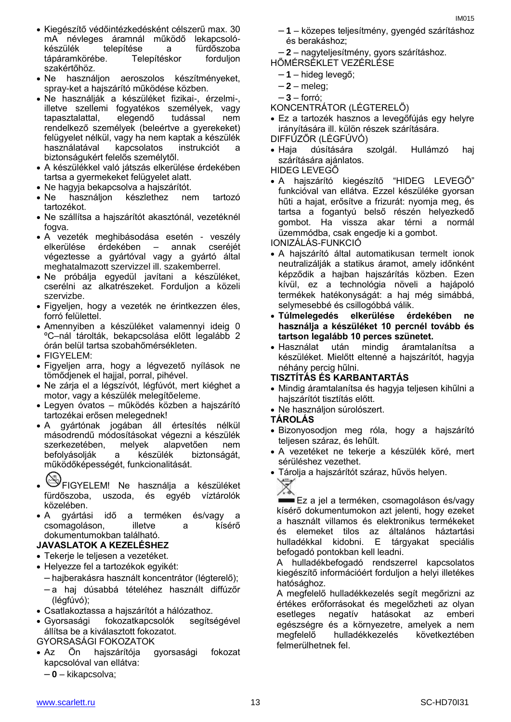- Kiegészítő védőintézkedésként célszerű max. 30 mA névleges áramnál működő lekapcsolókészülék telepítése a fürdőszoba<br>tápáramkörébe. Telepítéskor forduljon tápáramkörébe. Telepítéskor forduljon szakértőhöz.
- Ne használjon aeroszolos készítményeket, spray-ket a hajszárító működése közben.
- Ne használják a készüléket fizikai-, érzelmi-, illetve szellemi fogyatékos személyek, vagy tapasztalattal, elegendő tudással nem rendelkező személyek (beleértve a gyerekeket) felügyelet nélkül, vagy ha nem kaptak a készülék használatával kapcsolatos instrukciót a biztonságukért felelős személytől.
- A készülékkel való játszás elkerülése érdekében tartsa a gyermekeket felügyelet alatt.
- Ne hagyja bekapcsolva a hajszárítót.
- Ne használjon készlethez nem tartozó tartozékot.
- Ne szállítsa a hajszárítót akasztónál, vezetéknél fogva.
- A vezeték meghibásodása esetén veszély elkerülése érdekében – annak cseréjét végeztesse a gyártóval vagy a gyártó által meghatalmazott szervizzel ill. szakemberrel.
- Ne próbálja egyedül javítani a készüléket, cserélni az alkatrészeket. Forduljon a közeli szervizbe.
- Figyeljen, hogy a vezeték ne érintkezzen éles, forró felülettel.
- Amennyiben a készüléket valamennyi ideig 0 ºC–nál tárolták, bekapcsolása előtt legalább 2 órán belül tartsa szobahőmérsékleten.
- FIGYELEM:
- Figyeljen arra, hogy a légvezető nyílások ne tömődjenek el hajjal, porral, pihével.
- Ne zárja el a légszívót, légfúvót, mert kiéghet a motor, vagy a készülék melegítőeleme.
- Legyen óvatos működés közben a hajszárító tartozékai erősen melegednek!
- A gyártónak jogában áll értesítés nélkül másodrendű módosításokat végezni a készülék szerkezetében, melyek alapvetően nem befolyásolják a készülék biztonságát, működőképességét, funkcionalitását.
	-
- FIGYELEM! Ne használja a készüléket fürdőszoba, uszoda, és egyéb víztárolók közelében.
- A gyártási idő a terméken és/vagy a csomagoláson, illetve a kísérő dokumentumokban található.

# **JAVASLATOK A KEZELÉSHEZ**

- Tekerje le teljesen a vezetéket.
- Helyezze fel a tartozékok egyikét:
- hajberakásra használt koncentrátor (légterelő);
- a haj dúsabbá tételéhez használt diffúzőr (légfúvó);
- Csatlakoztassa a hajszárítót a hálózathoz.
- Gyorsasági fokozatkapcsolók segítségével állítsa be a kiválasztott fokozatot.

# GYORSASÁGI FOKOZATOK

- Az Ön hajszárítója gyorsasági fokozat kapcsolóval van ellátva:
	- **0** kikapcsolva;
- **1** közepes teljesítmény, gyengéd szárításhoz és berakáshoz;
- **2** nagyteljesítmény, gyors szárításhoz.
- HŐMÉRSÉKLET VEZÉRLÉSE
	- **1** hideg levegő;
	- **2** meleg;
	- **3** forró;
- KONCENTRÁTOR (LÉGTERELŐ)
- Ez a tartozék hasznos a levegőfújás egy helyre irányítására ill. külön részek szárítására. DIFFÚZŐR (LÉGFÚVÓ)
- Haja dúsítására szolgál. Hullámzó haj szárítására ajánlatos.

HIDEG LEVEGŐ

 A hajszárító kiegészítő "HIDEG LEVEGŐ" funkcióval van ellátva. Ezzel készüléke gyorsan hűti a hajat, erősítve a frizurát: nyomja meg, és tartsa a fogantyú belső részén helyezkedő gombot. Ha vissza akar térni a normál üzemmódba, csak engedje ki a gombot.

IONIZÁLÁS-FUNKCIÓ

- A hajszárító által automatikusan termelt ionok neutralizálják a statikus áramot, amely időnként képződik a hajban hajszárítás közben. Ezen kívül, ez a technológia növeli a hajápoló termékek hatékonyságát: a haj még simábbá, selymesebbé és csillogóbbá válik.
- **Túlmelegedés elkerülése érdekében ne használja a készüléket 10 percnél tovább és tartson legalább 10 perces szünetet.**
- Használat után mindig áramtalanítsa a készüléket. Mielőtt eltenné a hajszárítót, hagyja néhány percig hűlni.
- **TISZTÍTÁS ÉS KARBANTARTÁS**
- Mindig áramtalanítsa és hagyja teljesen kihűlni a hajszárítót tisztítás előtt.
- Ne használjon súrolószert.

#### **TÁROLÁS**

- Bizonyosodjon meg róla, hogy a hajszárító teljesen száraz, és lehűlt.
- A vezetéket ne tekerje a készülék köré, mert sérüléshez vezethet.
- Tárolja a hajszárítót száraz, hűvös helyen.



Ez a jel a terméken, csomagoláson és/vagy kísérő dokumentumokon azt jelenti, hogy ezeket a használt villamos és elektronikus termékeket és elemeket tilos az általános háztartási hulladékkal kidobni. E tárgyakat speciális befogadó pontokban kell leadni.

A hulladékbefogadó rendszerrel kapcsolatos kiegészítő információért forduljon a helyi illetékes hatósághoz.

A megfelelő hulladékkezelés segít megőrizni az értékes erőforrásokat és megelőzheti az olyan esetleges negatív hatásokat az emberi egészségre és a környezetre, amelyek a nem megfelelő hulladékkezelés következtében felmerülhetnek fel.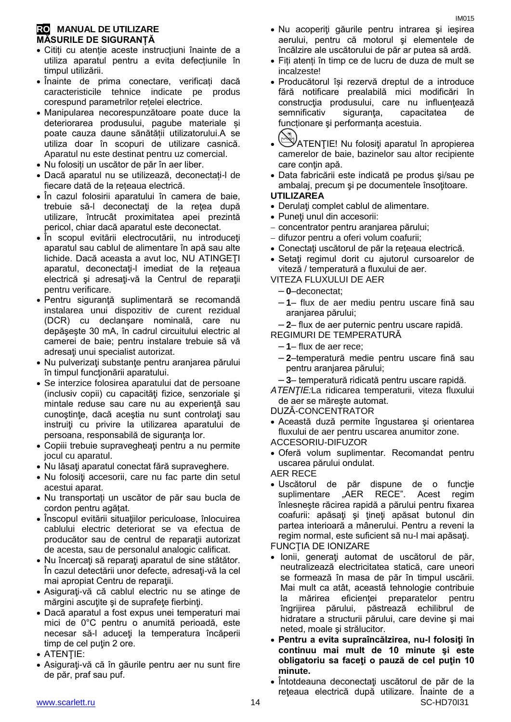### **RO MANUAL DE UTILIZARE MĂSURILE DE SIGURANȚĂ**

- Citiți cu atenție aceste instrucțiuni înainte de a utiliza aparatul pentru a evita defecțiunile în timpul utilizării.
- Înainte de prima conectare, verificați dacă caracteristicile tehnice indicate pe produs corespund parametrilor rețelei electrice.
- Manipularea necorespunzătoare poate duce la deteriorarea produsului, pagube materiale și poate cauza daune sănătății utilizatorului.A se utiliza doar în scopuri de utilizare casnică. Aparatul nu este destinat pentru uz comercial.
- Nu folosiți un uscător de păr în aer liber.
- Dacă aparatul nu se utilizează, deconectați-l de fiecare dată de la rețeaua electrică.
- În cazul folosirii aparatului în camera de baie, trebuie să-l deconectați de la retea după utilizare, întrucât proximitatea apei prezintă pericol, chiar dacă aparatul este deconectat.
- În scopul evitării electrocutării, nu introduceți aparatul sau cablul de alimentare în apă sau alte lichide. Dacă aceasta a avut loc, NU ATINGEŢI aparatul, deconectați-l imediat de la reteaua electrică şi adresaţi-vă la Centrul de reparaţii pentru verificare.
- Pentru siguranţă suplimentară se recomandă instalarea unui dispozitiv de curent rezidual (DCR) cu declanşare nominală, care nu depăşeşte 30 mA, în cadrul circuitului electric al camerei de baie; pentru instalare trebuie să vă adresaţi unui specialist autorizat.
- Nu pulverizați substanțe pentru aranjarea părului în timpul funcţionării aparatului.
- Se interzice folosirea aparatului dat de persoane (inclusiv copii) cu capacităţi fizice, senzoriale şi mintale reduse sau care nu au experientă sau cunoştinţe, dacă aceştia nu sunt controlaţi sau instruiți cu privire la utilizarea aparatului de persoana, responsabilă de siguranţa lor.
- Copiii trebuie supravegheaţi pentru a nu permite jocul cu aparatul.
- Nu lăsați aparatul conectat fără supraveghere.
- Nu folosiţi accesorii, care nu fac parte din setul acestui aparat.
- Nu transportați un uscător de păr sau bucla de cordon pentru agățat.
- Înscopul evitării situațiilor periculoase, înlocuirea cablului electric deteriorat se va efectua de producător sau de centrul de reparații autorizat de acesta, sau de personalul analogic calificat.
- Nu încercati să reparați aparatul de sine stătător. În cazul detectării unor defecte, adresaţi-vă la cel mai apropiat Centru de reparaţii.
- Asiguraţi-vă că cablul electric nu se atinge de mărgini ascuţite şi de suprafeţe fierbinţi.
- Dacă aparatul a fost expus unei temperaturi mai mici de 0°C pentru o anumită perioadă, este necesar să-l aduceţi la temperatura încăperii timp de cel putin 2 ore.
- ATENTIE:
- Asiguraţi-vă că în găurile pentru aer nu sunt fire de păr, praf sau puf.
- Nu acoperiţi găurile pentru intrarea şi ieşirea aerului, pentru că motorul şi elementele de încălzire ale uscătorului de păr ar putea să ardă.
- Fiți atenți în timp ce de lucru de duza de mult se incalzeste!
- Producătorul își rezervă dreptul de a introduce fără notificare prealabilă mici modificări în construcția produsului, care nu influențează semnificativ siguranta, capacitatea de funcționare şi performanța acestuia.
- ATENŢIE! Nu folosiţi aparatul în apropierea camerelor de baie, bazinelor sau altor recipiente care conţin apă.
- Data fabricării este indicată pe produs şi/sau pe ambalaj, precum și pe documentele însoțitoare.

#### **UTILIZAREA**

- Derulați complet cablul de alimentare.
- Puneţi unul din accesorii:
- concentrator pentru aranjarea părului;
- difuzor pentru a oferi volum coafurii;
- Conectaţi uscătorul de păr la reţeaua electrică.
- Setaţi regimul dorit cu ajutorul cursoarelor de viteză / temperatură a fluxului de aer.

VITEZA FLUXULUI DE AER

- **0**–deconectat;
- **1** flux de aer mediu pentru uscare fină sau aranjarea părului;
- **2** flux de aer puternic pentru uscare rapidă.

REGIMURI DE TEMPERATURĂ

- **1** flux de aer rece;
- **2**–temperatură medie pentru uscare fină sau pentru aranjarea părului;
- **3** temperatură ridicată pentru uscare rapidă.
- *ATENŢIE:*La ridicarea temperaturii, viteza fluxului de aer se măreşte automat.

DUZĂ-CONCENTRATOR

- Această duză permite îngustarea şi orientarea fluxului de aer pentru uscarea anumitor zone. ACCESORIU-DIFUZOR
- Oferă volum suplimentar. Recomandat pentru uscarea părului ondulat.

AER RECE

 Uscătorul de păr dispune de o funcţie suplimentare "AER RECE". Acest regim înlesneşte răcirea rapidă a părului pentru fixarea coafurii: apăsaţi şi ţineţi apăsat butonul din partea interioară a mânerului. Pentru a reveni la regim normal, este suficient să nu-l mai apăsaţi.

FUNCŢIA DE IONIZARE

- Ionii, generaţi automat de uscătorul de păr, neutralizează electricitatea statică, care uneori se formează în masa de păr în timpul uscării. Mai mult ca atât, această tehnologie contribuie la mărirea eficienţei preparatelor pentru îngrijirea părului, păstrează echilibrul de hidratare a structurii părului, care devine şi mai neted, moale şi strălucitor.
- **Pentru a evita supraîncălzirea, nu-l folosiţi în continuu mai mult de 10 minute şi este obligatoriu sa faceţi o pauză de cel puţin 10 minute.**
- www.scarlett.ru 14 SC-HD70I31 Întotdeauna deconectaţi uscătorul de păr de la reţeaua electrică după utilizare. Înainte de a